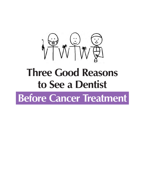

# **Three Good Reasons to See a Dentist**

**Before Cancer Treatment**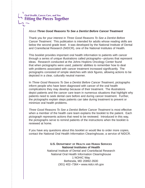#### **Oral Health, Cancer Care, and You Fitting the Pieces Together**

#### About *Three Good Reasons To See a Dentist Before Cancer Treatment*

Thank you for your interest in *Three Good Reasons To See a Dentist Before Cancer Treatment*. This publication is intended for adults whose reading skills are below the second grade level. It was developed by the National Institute of Dental and Craniofacial Research (NIDCR), one of the National Institutes of Health.

This booklet provides important oral health information to patients with cancer through a series of unique illustrations called pictographs—pictures that represent ideas. Research conducted at the Johns Hopkins Oncology Center found that when pictographs were used, patients' abilities to remember how to deal with problems associated with cancer treatment increased significantly. The pictographs consisted of simple sketches with stick figures, allowing actions to be depicted in a clear, culturally neutral manner.

In *Three Good Reasons To See a Dentist Before Cancer Treatment*, pictographs inform people who have been diagnosed with cancer of the oral health complications they may develop because of their treatment. The illustrations depict patients and the cancer care team in numerous situations that highlight why patients need to seek dental care before and during cancer treatment. Further, the pictographs explain steps patients can take during treatment to prevent or minimize oral health problems.

*Three Good Reasons To See a Dentist Before Cancer Treatment* is most effective when a member of the health care team explains the booklet to the patient. Each pictograph represents actions that need to be reviewed. Introduced in this way, the pictographs serve to remind patients of the instructions when the booklet is reviewed at home.

If you have any questions about this booklet or would like to order more copies, contact the National Oral Health Information Clearinghouse, a service of NIDCR.

#### **U.S. Department of Health and Human Services National Institutes of Health** National Institute of Dental and Craniofacial Research National Oral Health Information Clearinghouse 1 NOHIC Way Bethesda, MD 20892-3500 (301) 402–7364 • www.nidcr.nih.gov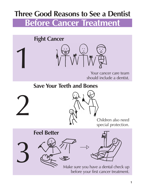## **Three Good Reasons to See a Dentist Before Cancer Treatment**





Your cancer care team should include a dentist.

**Save Your Teeth and Bones**



3

1



Children also need special protection.

**Feel Better**



Make sure you have a dental check up before your first cancer treatment.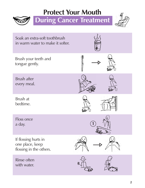## **Protect Your Mouth**



**During Cancer Treatment** 



| Soak an extra-soft toothbrush<br>in warm water to make it softer.  |  |
|--------------------------------------------------------------------|--|
| Brush your teeth and<br>tongue gently.                             |  |
| <b>Brush after</b><br>every meal.                                  |  |
| Brush at<br>bedtime.                                               |  |
| Floss once<br>a day.                                               |  |
| If flossing hurts in<br>one place, keep<br>flossing in the others. |  |
| <b>Rinse often</b><br>with water.                                  |  |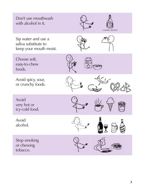Don't use mouthwash with alcohol in it. Sip water and use a saliva substitute to keep your mouth moist. Choose soft, easy-to-chew foods. Avoid spicy, sour, or crunchy foods. Avoid very hot or icy-cold food. Avoid alcohol. Stop smoking or chewing tobacco. contains alcohol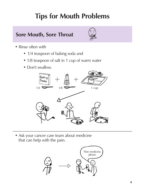# **Tips for Mouth Problems**

### **Sore Mouth, Sore Throat**



- Rinse often with
	- 1/4 teaspoon of baking soda and
	- 1/8 teaspoon of salt in 1 cup of warm water
	- Don't swallow.



• Ask your cancer care team about medicine that can help with the pain.

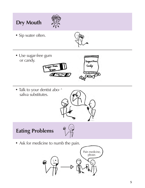## **Dry Mouth**



• Sip water often.



Sugar-Free

• Use sugar-free gum or candy.



• Talk to your dentist about saliva substitutes.



### **Eating Problems**



• Ask for medicine to numb the pain.

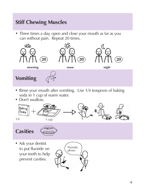### **Stiff Chewing Muscles**

• Three times a day, open and close your mouth as far as you can without pain. Repeat 20 times.



- Rinse your mouth after vomiting. Use 1/4 teaspoon of baking soda in 1 cup of warm water.
- Don't swallow.



• Ask your dentist to put fluoride on your teeth to help prevent cavities.

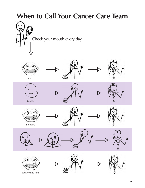## **When to Call Your Cancer Care Team**













Swelling